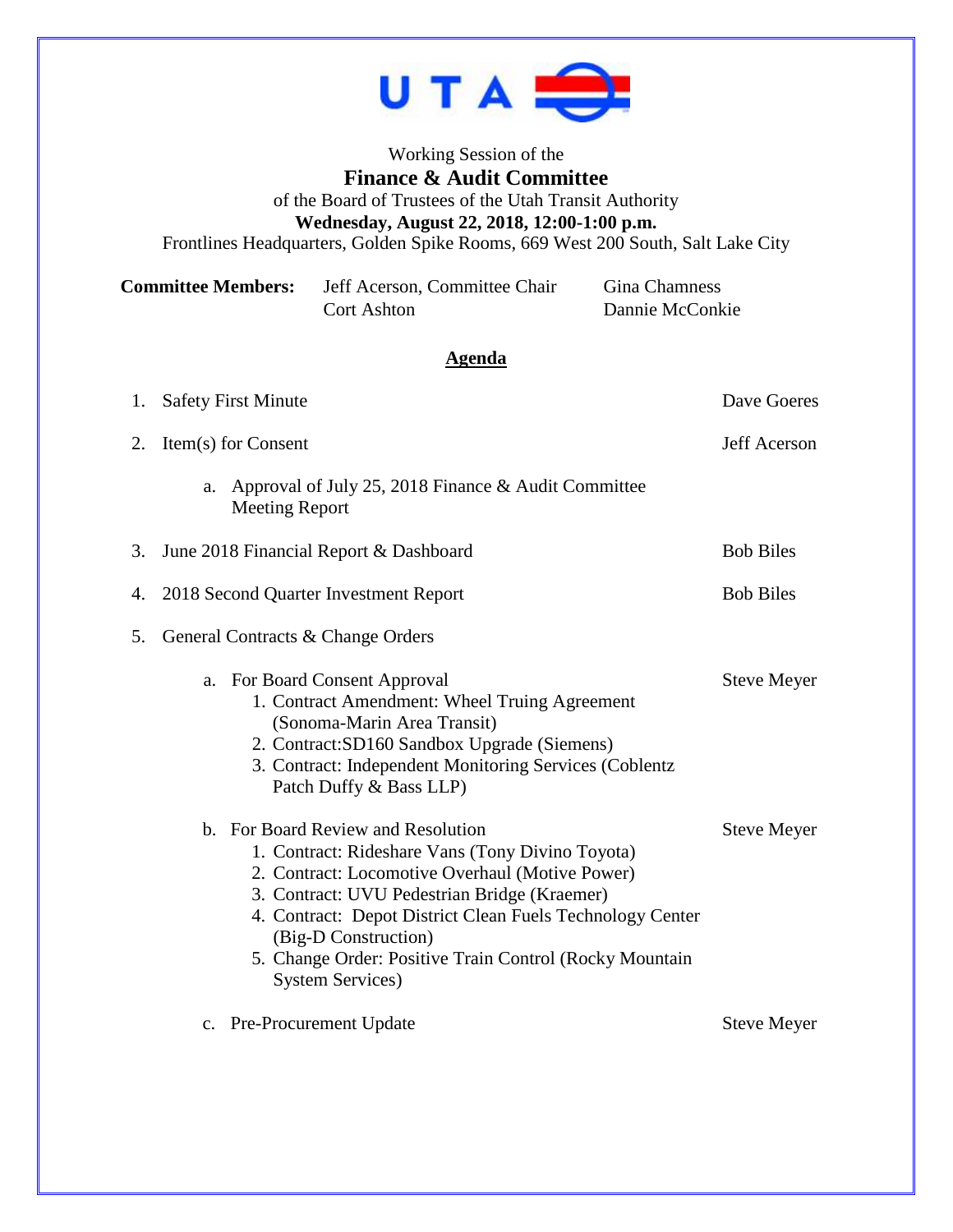

Working Session of the **Finance & Audit Committee** of the Board of Trustees of the Utah Transit Authority **Wednesday, August 22, 2018, 12:00-1:00 p.m.** Frontlines Headquarters, Golden Spike Rooms, 669 West 200 South, Salt Lake City

| <b>Committee Members:</b> | Jeff Acerson, Committee Chair | Gina Chamness   |
|---------------------------|-------------------------------|-----------------|
|                           | Cort Ashton                   | Dannie McConkie |

## **Agenda**

|    | 1. Safety First Minute                                                                                                                                                                                                                                                                                                                                                | Dave Goeres        |  |
|----|-----------------------------------------------------------------------------------------------------------------------------------------------------------------------------------------------------------------------------------------------------------------------------------------------------------------------------------------------------------------------|--------------------|--|
| 2. | Item(s) for Consent                                                                                                                                                                                                                                                                                                                                                   | Jeff Acerson       |  |
|    | Approval of July 25, 2018 Finance & Audit Committee<br>a.<br><b>Meeting Report</b>                                                                                                                                                                                                                                                                                    |                    |  |
| 3. | June 2018 Financial Report & Dashboard                                                                                                                                                                                                                                                                                                                                | <b>Bob Biles</b>   |  |
| 4. | 2018 Second Quarter Investment Report                                                                                                                                                                                                                                                                                                                                 | <b>Bob Biles</b>   |  |
| 5. | General Contracts & Change Orders                                                                                                                                                                                                                                                                                                                                     |                    |  |
|    | For Board Consent Approval<br>a.<br>1. Contract Amendment: Wheel Truing Agreement<br>(Sonoma-Marin Area Transit)<br>2. Contract: SD160 Sandbox Upgrade (Siemens)<br>3. Contract: Independent Monitoring Services (Coblentz)<br>Patch Duffy & Bass LLP)                                                                                                                | <b>Steve Meyer</b> |  |
|    | b. For Board Review and Resolution<br>1. Contract: Rideshare Vans (Tony Divino Toyota)<br>2. Contract: Locomotive Overhaul (Motive Power)<br>3. Contract: UVU Pedestrian Bridge (Kraemer)<br>4. Contract: Depot District Clean Fuels Technology Center<br>(Big-D Construction)<br>5. Change Order: Positive Train Control (Rocky Mountain<br><b>System Services</b> ) | <b>Steve Meyer</b> |  |
|    | c. Pre-Procurement Update                                                                                                                                                                                                                                                                                                                                             | <b>Steve Meyer</b> |  |